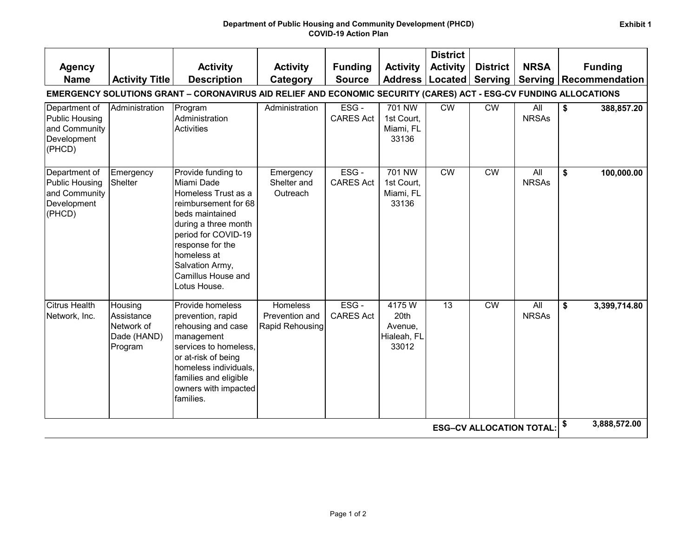|                                                                                                                   |                                                               |                                                                                                                                                                                                                                               |                                               |                             |                                                  | <b>District</b> |                        |                     |                    |  |  |
|-------------------------------------------------------------------------------------------------------------------|---------------------------------------------------------------|-----------------------------------------------------------------------------------------------------------------------------------------------------------------------------------------------------------------------------------------------|-----------------------------------------------|-----------------------------|--------------------------------------------------|-----------------|------------------------|---------------------|--------------------|--|--|
| <b>Agency</b>                                                                                                     |                                                               | <b>Activity</b>                                                                                                                                                                                                                               | <b>Activity</b>                               | <b>Funding</b>              | <b>Activity</b>                                  | <b>Activity</b> | <b>District</b>        | <b>NRSA</b>         | <b>Funding</b>     |  |  |
| <b>Name</b>                                                                                                       | <b>Activity Title</b>                                         | <b>Description</b>                                                                                                                                                                                                                            | Category                                      | <b>Source</b>               | <b>Address</b>                                   | Located         | Serving                | <b>Serving</b>      | Recommendation     |  |  |
| EMERGENCY SOLUTIONS GRANT - CORONAVIRUS AID RELIEF AND ECONOMIC SECURITY (CARES) ACT - ESG-CV FUNDING ALLOCATIONS |                                                               |                                                                                                                                                                                                                                               |                                               |                             |                                                  |                 |                        |                     |                    |  |  |
| Department of<br><b>Public Housing</b><br>and Community<br>Development<br>(PHCD)                                  | Administration                                                | Program<br>Administration<br>Activities                                                                                                                                                                                                       | Administration                                | ESG-<br><b>CARES Act</b>    | 701 NW<br>1st Court,<br>Miami, FL<br>33136       | <b>CW</b>       | <b>CW</b>              | All<br><b>NRSAs</b> | \$<br>388,857.20   |  |  |
| Department of<br>Public Housing<br>and Community<br>Development<br>(PHCD)                                         | Emergency<br>Shelter                                          | Provide funding to<br>Miami Dade<br>Homeless Trust as a<br>reimbursement for 68<br>beds maintained<br>during a three month<br>period for COVID-19<br>response for the<br>homeless at<br>Salvation Army,<br>Camillus House and<br>Lotus House. | Emergency<br>Shelter and<br>Outreach          | ESG-<br><b>CARES Act</b>    | 701 NW<br>1st Court,<br>Miami, FL<br>33136       | <b>CW</b>       | <b>CW</b>              | All<br><b>NRSAs</b> | \$<br>100,000.00   |  |  |
| <b>Citrus Health</b><br>Network, Inc.                                                                             | Housing<br>Assistance<br>Network of<br>Dade (HAND)<br>Program | Provide homeless<br>prevention, rapid<br>rehousing and case<br>management<br>services to homeless.<br>or at-risk of being<br>homeless individuals,<br>families and eligible<br>owners with impacted<br>families.                              | Homeless<br>Prevention and<br>Rapid Rehousing | $ESG -$<br><b>CARES Act</b> | 4175W<br>20th<br>Avenue,<br>Hialeah, FL<br>33012 | $\overline{13}$ | $\overline{\text{CW}}$ | All<br><b>NRSAs</b> | \$<br>3,399,714.80 |  |  |
| <b>ESG-CV ALLOCATION TOTAL:</b>                                                                                   |                                                               |                                                                                                                                                                                                                                               |                                               |                             |                                                  |                 |                        |                     | \$<br>3,888,572.00 |  |  |